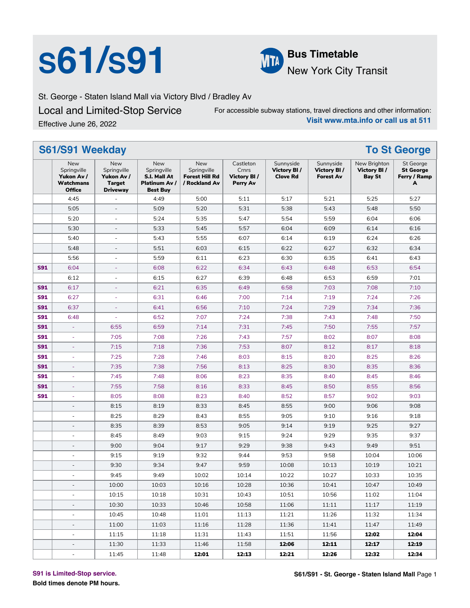# **S61/S91 Bus Timetable**



New York City Transit

St. George - Staten Island Mall via Victory Blvd / Bradley Av

Local and Limited-Stop Service Effective June 26, 2022

For accessible subway stations, travel directions and other information: **Visit www.mta.info or call us at 511**

**S61/S91 Weekday To St George** New Springville **Yukon Av / Watchmans Office** New Springville **Yukon Av / Target Driveway** New Springville **S.I. Mall At Platinum Av / Best Buy** New Springville **Forest Hill Rd / Rockland Av** Castleton Crnrs **Victory Bl / Perry Av** Sunnyside **Victory Bl / Clove Rd** Sunnyside **Victory Bl / Forest Av** New Brighton **Victory Bl / Bay St** St George **St George Ferry / Ramp A** 4:45 | - | 4:49 | 5:00 | 5:11 | 5:17 | 5:21 | 5:25 | 5:27 5:05 | - | 5:09 | 5:20 | 5:31 | 5:38 | 5:43 | 5:48 | 5:50 5:20 | - | 5:24 | 5:35 | 5:47 | 5:54 | 5:59 | 6:04 | 6:06 5:30 | - | 5:33 | 5:45 | 5:57 | 6:04 | 6:09 | 6:14 | 6:16 5:40 | - | 5:43 | 5:55 | 6:07 | 6:14 | 6:19 | 6:24 | 6:26 5:48 | - | 5:51 | 6:03 | 6:15 | 6:22 | 6:27 | 6:32 | 6:34 5:56 | - | 5:59 | 6:11 | 6:23 | 6:30 | 6:35 | 6:41 | 6:43 **S91** 6:04 | - | 6:08 | 6:22 | 6:34 | 6:43 | 6:48 | 6:53 | 6:54 6:12 - 6:15 6:27 6:39 6:48 6:53 6:59 7:01 **S91** 6:17 | - | 6:21 | 6:35 | 6:49 | 6:58 | 7:03 | 7:08 | 7:10 **S91** 6:27 | - | 6:31 | 6:46 | 7:00 | 7:14 | 7:19 | 7:24 | 7:26 **S91** 6:37 | - | 6:41 | 6:56 | 7:10 | 7:24 | 7:29 | 7:34 | 7:36 **S91** 6:48 | - | 6:52 | 7:07 | 7:24 | 7:38 | 7:43 | 7:48 | 7:50 **S91** - | 6:55 | 6:59 | 7:14 | 7:31 | 7:45 | 7:50 | 7:55 | 7:57 **S91** - | 7:05 | 7:08 | 7:26 | 7:43 | 7:57 | 8:02 | 8:07 | 8:08 **S91** - | 7:15 | 7:18 | 7:36 | 7:53 | 8:07 | 8:12 | 8:17 | 8:18 **S91** - | 7:25 | 7:28 | 7:46 | 8:03 | 8:15 | 8:20 | 8:25 | 8:26 **S91** - | 7:35 | 7:38 | 7:56 | 8:13 | 8:25 | 8:30 | 8:35 | 8:36 **S91** - | 7:45 | 7:48 | 8:06 | 8:23 | 8:35 | 8:40 | 8:45 | 8:46 **S91** - | 7:55 | 7:58 | 8:16 | 8:33 | 8:45 | 8:50 | 8:55 | 8:56 **S91** | 8:05 | 8:08 | 8:23 | 8:40 | 8:52 | 8:57 | 9:02 | 9:03 - | 8:15 | 8:19 | 8:33 | 8:45 | 8:55 | 9:00 | 9:06 | 9:08 - | 8:25 | 8:29 | 8:43 | 8:55 | 9:05 | 9:10 | 9:16 | 9:18 - | 8:35 | 8:39 | 8:53 | 9:05 | 9:14 | 9:19 | 9:25 | 9:27 - | 8:45 | 8:49 | 9:03 | 9:15 | 9:24 | 9:29 | 9:35 | 9:37 - | 9:00 | 9:04 | 9:17 | 9:29 | 9:38 | 9:43 | 9:49 | 9:51 - | 9:15 | 9:19 | 9:32 | 9:44 | 9:53 | 9:58 | 10:04 | 10:06 - | 9:30 | 9:34 | 9:47 | 9:59 | 10:08 | 10:13 | 10:19 | 10:21 - | 9:45 | 9:49 | 10:02 | 10:14 | 10:22 | 10:27 | 10:33 | 10:35 - | 10:00 | 10:03 | 10:16 | 10:28 | 10:36 | 10:41 | 10:47 | 10:49 - | 10:15 | 10:18 | 10:31 | 10:43 | 10:51 | 10:56 | 11:02 | 11:04 - | 10:30 | 10:33 | 10:46 | 10:58 | 11:06 | 11:11 | 11:17 | 11:19 - | 10:45 | 10:48 | 11:01 | 11:13 | 11:21 | 11:26 | 11:32 | 11:34 - | 11:00 | 11:03 | 11:16 | 11:28 | 11:36 | 11:41 | 11:47 | 11:49 - 11:15 11:18 11:31 11:43 11:51 11:56 **12:02 12:04** - 11:30 11:33 11:46 11:58 **12:06 12:11 12:17 12:19** - 11:45 11:48 **12:01 12:13 12:21 12:26 12:32 12:34**

#### **S91 is Limited-Stop service.**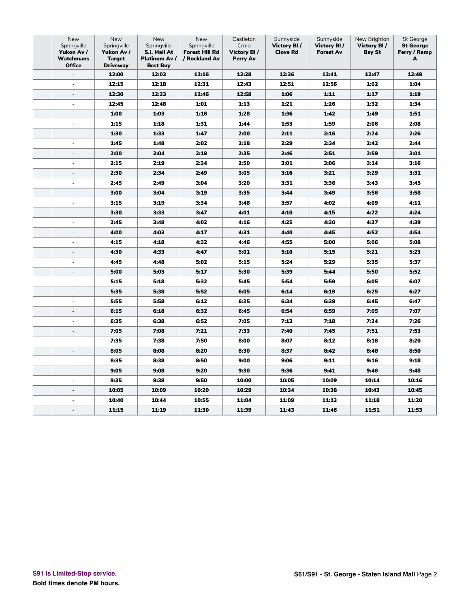| New<br>Springville<br>Yukon Av /<br>Watchmans<br><b>Office</b> | New<br>Springville<br>Yukon Av /<br><b>Target</b><br><b>Driveway</b> | New<br>Springville<br>S.I. Mall At<br>Platinum Av /<br><b>Best Buy</b> | New<br>Springville<br><b>Forest Hill Rd</b><br>/ Rockland Av | Castleton<br>Crnrs<br><b>Victory BI/</b><br>Perry Av | Sunnyside<br><b>Victory BI/</b><br><b>Clove Rd</b> | Sunnyside<br><b>Victory BI/</b><br><b>Forest Av</b> | New Brighton<br>Victory BI/<br><b>Bay St</b> | St George<br><b>St George</b><br>Ferry / Ramp<br>A |
|----------------------------------------------------------------|----------------------------------------------------------------------|------------------------------------------------------------------------|--------------------------------------------------------------|------------------------------------------------------|----------------------------------------------------|-----------------------------------------------------|----------------------------------------------|----------------------------------------------------|
| $\overline{\phantom{a}}$                                       | 12:00                                                                | 12:03                                                                  | 12:16                                                        | 12:28                                                | 12:36                                              | 12:41                                               | 12:47                                        | 12:49                                              |
|                                                                | 12:15                                                                | 12:18                                                                  | 12:31                                                        | 12:43                                                | 12:51                                              | 12:56                                               | 1:02                                         | 1:04                                               |
| ÷,                                                             | 12:30                                                                | 12:33                                                                  | 12:46                                                        | 12:58                                                | 1:06                                               | 1:11                                                | 1:17                                         | 1:19                                               |
| ÷,                                                             | 12:45                                                                | 12:48                                                                  | 1:01                                                         | 1:13                                                 | 1:21                                               | 1:26                                                | 1:32                                         | 1:34                                               |
| $\overline{\phantom{a}}$                                       | 1:00                                                                 | 1:03                                                                   | 1:16                                                         | 1:28                                                 | 1:36                                               | 1:42                                                | 1:49                                         | 1:51                                               |
| ÷,                                                             | 1:15                                                                 | 1:18                                                                   | 1:31                                                         | 1:44                                                 | 1:53                                               | 1:59                                                | 2:06                                         | 2:08                                               |
| $\overline{\phantom{a}}$                                       | 1:30                                                                 | 1:33                                                                   | 1:47                                                         | 2:00                                                 | 2:11                                               | 2:16                                                | 2:24                                         | 2:26                                               |
| $\bar{a}$                                                      | 1:45                                                                 | 1:48                                                                   | 2:02                                                         | 2:18                                                 | 2:29                                               | 2:34                                                | 2:42                                         | 2:44                                               |
| $\overline{\phantom{a}}$                                       | 2:00                                                                 | 2:04                                                                   | 2:19                                                         | 2:35                                                 | 2:46                                               | 2:51                                                | 2:59                                         | 3:01                                               |
| $\overline{\phantom{a}}$                                       | 2:15                                                                 | 2:19                                                                   | 2:34                                                         | 2:50                                                 | 3:01                                               | 3:06                                                | 3:14                                         | 3:16                                               |
| $\sim$                                                         | 2:30                                                                 | 2:34                                                                   | 2:49                                                         | 3:05                                                 | 3:16                                               | 3:21                                                | 3:29                                         | 3:31                                               |
| ÷,                                                             | 2:45                                                                 | 2:49                                                                   | 3:04                                                         | 3:20                                                 | 3:31                                               | 3:36                                                | 3:43                                         | 3:45                                               |
| ÷,                                                             | 3:00                                                                 | 3:04                                                                   | 3:19                                                         | 3:35                                                 | 3:44                                               | 3:49                                                | 3:56                                         | 3:58                                               |
| $\sim$                                                         | 3:15                                                                 | 3:19                                                                   | 3:34                                                         | 3:48                                                 | 3:57                                               | 4:02                                                | 4:09                                         | 4:11                                               |
| $\overline{\phantom{a}}$                                       | 3:30                                                                 | 3:33                                                                   | 3:47                                                         | 4:01                                                 | 4:10                                               | 4:15                                                | 4:22                                         | 4:24                                               |
| ÷,                                                             | 3:45                                                                 | 3:48                                                                   | 4:02                                                         | 4:16                                                 | 4:25                                               | 4:30                                                | 4:37                                         | 4:39                                               |
| $\overline{\phantom{a}}$                                       | 4:00                                                                 | 4:03                                                                   | 4:17                                                         | 4:31                                                 | 4:40                                               | 4:45                                                | 4:52                                         | 4:54                                               |
| ÷,                                                             | 4:15                                                                 | 4:18                                                                   | 4:32                                                         | 4:46                                                 | 4:55                                               | 5:00                                                | 5:06                                         | 5:08                                               |
| $\overline{\phantom{a}}$                                       | 4:30                                                                 | 4:33                                                                   | 4:47                                                         | 5:01                                                 | 5:10                                               | 5:15                                                | 5:21                                         | 5:23                                               |
| ÷,                                                             | 4:45                                                                 | 4:48                                                                   | 5:02                                                         | 5:15                                                 | 5:24                                               | 5:29                                                | 5:35                                         | 5:37                                               |
| $\overline{\phantom{a}}$                                       | 5:00                                                                 | 5:03                                                                   | 5:17                                                         | 5:30                                                 | 5:39                                               | 5:44                                                | 5:50                                         | 5:52                                               |
| $\overline{\phantom{a}}$                                       | 5:15                                                                 | 5:18                                                                   | 5:32                                                         | 5:45                                                 | 5:54                                               | 5:59                                                | 6:05                                         | 6:07                                               |
| $\overline{\phantom{a}}$                                       | 5:35                                                                 | 5:38                                                                   | 5:52                                                         | 6:05                                                 | 6:14                                               | 6:19                                                | 6:25                                         | 6:27                                               |
| $\overline{\phantom{a}}$                                       | 5:55                                                                 | 5:58                                                                   | 6:12                                                         | 6:25                                                 | 6:34                                               | 6:39                                                | 6:45                                         | 6:47                                               |
| $\overline{\phantom{a}}$                                       | 6:15                                                                 | 6:18                                                                   | 6:32                                                         | 6:45                                                 | 6:54                                               | 6:59                                                | 7:05                                         | 7:07                                               |
| $\overline{\phantom{a}}$                                       | 6:35                                                                 | 6:38                                                                   | 6:52                                                         | 7:05                                                 | 7:13                                               | 7:18                                                | 7:24                                         | 7:26                                               |
| $\overline{a}$                                                 | 7:05                                                                 | 7:08                                                                   | 7:21                                                         | 7:33                                                 | 7:40                                               | 7:45                                                | 7:51                                         | 7:53                                               |
| ÷,                                                             | 7:35                                                                 | 7:38                                                                   | 7:50                                                         | 8:00                                                 | 8:07                                               | 8:12                                                | 8:18                                         | 8:20                                               |
| $\overline{\phantom{a}}$                                       | 8:05                                                                 | 8:08                                                                   | 8:20                                                         | 8:30                                                 | 8:37                                               | 8:42                                                | 8:48                                         | 8:50                                               |
| ÷                                                              | 8:35                                                                 | 8:38                                                                   | 8:50                                                         | 9:00                                                 | 9:06                                               | 9:11                                                | 9:16                                         | 9:18                                               |
| ÷,                                                             | 9:05                                                                 | 9:08                                                                   | 9:20                                                         | 9:30                                                 | 9:36                                               | 9:41                                                | 9:46                                         | 9:48                                               |
|                                                                | 9:35                                                                 | 9:38                                                                   | 9:50                                                         | 10:00                                                | 10:05                                              | 10:09                                               | 10:14                                        | 10:16                                              |
|                                                                | 10:05                                                                | 10:09                                                                  | 10:20                                                        | 10:29                                                | 10:34                                              | 10:38                                               | 10:43                                        | 10:45                                              |
| ÷                                                              | 10:40                                                                | 10:44                                                                  | 10:55                                                        | 11:04                                                | 11:09                                              | 11:13                                               | 11:18                                        | 11:20                                              |
|                                                                | 11:15                                                                | 11:19                                                                  | 11:30                                                        | 11:39                                                | 11:43                                              | 11:46                                               | 11:51                                        | 11:53                                              |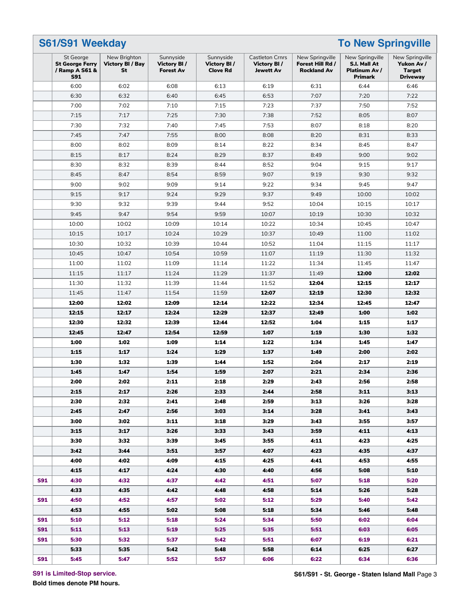#### **S61/S91 Weekday To New Springville** St George **St George Ferry / Ramp A S61 & S91** New Brighton **Victory Bl / Bay St** Sunnyside **Victory Bl / Forest Av** Sunnyside **Victory Bl / Clove Rd** Castleton Crnrs **Victory Bl / Jewett Av** New Springville **Forest Hill Rd / Rockland Av** New Springville **S.I. Mall At Platinum Av / Primark** New Springville **Yukon Av / Target Driveway** 6:00 6:02 6:08 6:13 6:19 6:31 6:44 6:46 6:30 6:32 6:40 6:45 6:53 7:07 7:20 7:22 7:00 7:02 7:10 7:15 7:23 7:37 7:50 7:52 7:15 | 7:17 | 7:25 | 7:30 | 7:38 | 7:52 | 8:05 | 8:07 7:30 7:32 7:40 7:45 7:53 8:07 8:18 8:20 7:45 | 7:47 | 7:55 | 8:00 | 8:08 | 8:20 | 8:31 | 8:33 8:00 | 8:02 | 8:09 | 8:14 | 8:22 | 8:34 | 8:45 | 8:47 8:15 | 8:17 | 8:24 | 8:29 | 8:37 | 8:49 | 9:00 | 9:02 8:30 | 8:32 | 8:39 | 8:44 | 8:52 | 9:04 | 9:15 | 9:17 8:45 | 8:47 | 8:54 | 8:59 | 9:07 | 9:19 | 9:30 | 9:32 9:00 9:02 9:09 9:14 9:22 9:34 9:45 9:47 9:15 | 9:17 | 9:24 | 9:29 | 9:37 | 9:49 | 10:00 | 10:02 9:30 | 9:32 | 9:39 | 9:44 | 9:52 | 10:04 | 10:15 | 10:17 9:45 | 9:47 | 9:54 | 9:59 | 10:07 | 10:19 | 10:30 | 10:32 10:00 10:02 10:09 10:14 10:22 10:34 10:45 10:47 10:15 10:17 10:24 10:29 10:37 10:49 11:00 11:02 10:30 10:32 10:39 10:44 10:52 11:04 11:15 11:17 10:45 10:47 10:54 10:59 11:07 11:19 11:30 11:32 11:00 11:02 11:09 11:14 11:22 11:34 11:45 11:47 11:15 11:17 11:24 11:29 11:37 11:49 **12:00 12:02** 11:30 11:32 11:39 11:44 11:52 **12:04 12:15 12:17** 11:45 11:47 11:54 11:59 **12:07 12:19 12:30 12:32 12:00 12:02 12:09 12:14 12:22 12:34 12:45 12:47 12:15 12:17 12:24 12:29 12:37 12:49 1:00 1:02 12:30 12:32 12:39 12:44 12:52 1:04 1:15 1:17 12:45 12:47 12:54 12:59 1:07 1:19 1:30 1:32 1:00 1:02 1:09 1:14 1:22 1:34 1:45 1:47 1:15 1:17 1:24 1:29 1:37 1:49 2:00 2:02 1:30 1:32 1:39 1:44 1:52 2:04 2:17 2:19 1:45 1:47 1:54 1:59 2:07 2:21 2:34 2:36 2:00 2:02 2:11 2:18 2:29 2:43 2:56 2:58 2:15 2:17 2:26 2:33 2:44 2:58 3:11 3:13 2:30 2:32 2:41 2:48 2:59 3:13 3:26 3:28 2:45 2:47 2:56 3:03 3:14 3:28 3:41 3:43 3:00 3:02 3:11 3:18 3:29 3:43 3:55 3:57 3:15 3:17 3:26 3:33 3:43 3:59 4:11 4:13 3:30 3:32 3:39 3:45 3:55 4:11 4:23 4:25 3:42 3:44 3:51 3:57 4:07 4:23 4:35 4:37 4:00 4:02 4:09 4:15 4:25 4:41 4:53 4:55 4:15 4:17 4:24 4:30 4:40 4:56 5:08 5:10 S91 4:30 4:32 4:37 4:42 4:51 5:07 5:18 5:20 4:33 4:35 4:42 4:48 4:58 5:14 5:26 5:28 S91 4:50 4:52 4:57 5:02 5:12 5:29 5:40 5:42 4:53 4:55 5:02 5:08 5:18 5:34 5:46 5:48 S91 5:10 5:12 5:18 5:24 5:34 5:50 6:02 6:04 S91 5:11 5:13 5:19 5:25 5:35 5:51 6:03 6:05 S91 5:30 5:32 5:37 5:42 5:51 6:07 6:19 6:21 5:33 5:35 5:42 5:48 5:58 6:14 6:25 6:27 S91 5:45 5:47 5:52 5:57 6:06 6:22 6:34 6:36**

**S91 is Limited-Stop service.**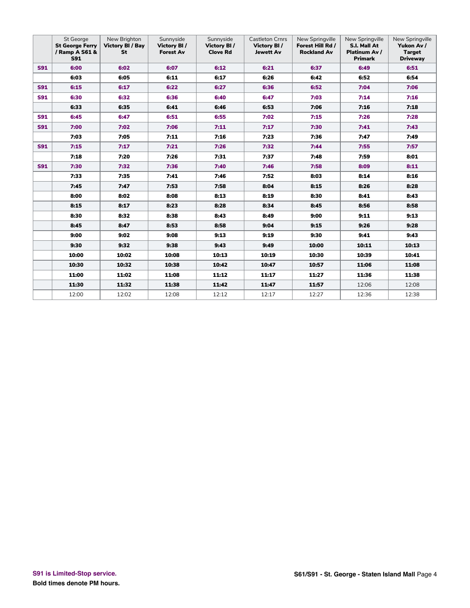|            | St George<br><b>St George Ferry</b><br>/ Ramp A S61 &<br><b>S91</b> | New Brighton<br><b>Victory BI / Bay</b><br>St | Sunnyside<br><b>Victory BI/</b><br><b>Forest Av</b> | Sunnyside<br><b>Victory BI/</b><br><b>Clove Rd</b> | <b>Castleton Crnrs</b><br>Victory BI/<br><b>Jewett Av</b> | New Springville<br>Forest Hill Rd /<br><b>Rockland Av</b> | New Springville<br>S.I. Mall At<br>Platinum Av /<br><b>Primark</b> | New Springville<br>Yukon Av /<br><b>Target</b><br><b>Driveway</b> |
|------------|---------------------------------------------------------------------|-----------------------------------------------|-----------------------------------------------------|----------------------------------------------------|-----------------------------------------------------------|-----------------------------------------------------------|--------------------------------------------------------------------|-------------------------------------------------------------------|
| <b>S91</b> | 6:00                                                                | 6:02                                          | 6:07                                                | 6:12                                               | 6:21                                                      | 6:37                                                      | 6:49                                                               | 6:51                                                              |
|            | 6:03                                                                | 6:05                                          | 6:11                                                | 6:17                                               | 6:26                                                      | 6:42                                                      | 6:52                                                               | 6:54                                                              |
| <b>S91</b> | 6:15                                                                | 6:17                                          | 6:22                                                | 6:27                                               | 6:36                                                      | 6:52                                                      | 7:04                                                               | 7:06                                                              |
| <b>S91</b> | 6:30                                                                | 6:32                                          | 6:36                                                | 6:40                                               | 6:47                                                      | 7:03                                                      | 7:14                                                               | 7:16                                                              |
|            | 6:33                                                                | 6:35                                          | 6:41                                                | 6:46                                               | 6:53                                                      | 7:06                                                      | 7:16                                                               | 7:18                                                              |
| <b>S91</b> | 6:45                                                                | 6:47                                          | 6:51                                                | 6:55                                               | 7:02                                                      | 7:15                                                      | 7:26                                                               | 7:28                                                              |
| <b>S91</b> | 7:00                                                                | 7:02                                          | 7:06                                                | 7:11                                               | 7:17                                                      | 7:30                                                      | 7:41                                                               | 7:43                                                              |
|            | 7:03                                                                | 7:05                                          | 7:11                                                | 7:16                                               | 7:23                                                      | 7:36                                                      | 7:47                                                               | 7:49                                                              |
| <b>S91</b> | 7:15                                                                | 7:17                                          | 7:21                                                | 7:26                                               | 7:32                                                      | 7:44                                                      | 7:55                                                               | 7:57                                                              |
|            | 7:18                                                                | 7:20                                          | 7:26                                                | 7:31                                               | 7:37                                                      | 7:48                                                      | 7:59                                                               | 8:01                                                              |
| <b>S91</b> | 7:30                                                                | 7:32                                          | 7:36                                                | 7:40                                               | 7:46                                                      | 7:58                                                      | 8:09                                                               | 8:11                                                              |
|            | 7:33                                                                | 7:35                                          | 7:41                                                | 7:46                                               | 7:52                                                      | 8:03                                                      | 8:14                                                               | 8:16                                                              |
|            | 7:45                                                                | 7:47                                          | 7:53                                                | 7:58                                               | 8:04                                                      | 8:15                                                      | 8:26                                                               | 8:28                                                              |
|            | 8:00                                                                | 8:02                                          | 8:08                                                | 8:13                                               | 8:19                                                      | 8:30                                                      | 8:41                                                               | 8:43                                                              |
|            | 8:15                                                                | 8:17                                          | 8:23                                                | 8:28                                               | 8:34                                                      | 8:45                                                      | 8:56                                                               | 8:58                                                              |
|            | 8:30                                                                | 8:32                                          | 8:38                                                | 8:43                                               | 8:49                                                      | 9:00                                                      | 9:11                                                               | 9:13                                                              |
|            | 8:45                                                                | 8:47                                          | 8:53                                                | 8:58                                               | 9:04                                                      | 9:15                                                      | 9:26                                                               | 9:28                                                              |
|            | 9:00                                                                | 9:02                                          | 9:08                                                | 9:13                                               | 9:19                                                      | 9:30                                                      | 9:41                                                               | 9:43                                                              |
|            | 9:30                                                                | 9:32                                          | 9:38                                                | 9:43                                               | 9:49                                                      | 10:00                                                     | 10:11                                                              | 10:13                                                             |
|            | 10:00                                                               | 10:02                                         | 10:08                                               | 10:13                                              | 10:19                                                     | 10:30                                                     | 10:39                                                              | 10:41                                                             |
|            | 10:30                                                               | 10:32                                         | 10:38                                               | 10:42                                              | 10:47                                                     | 10:57                                                     | 11:06                                                              | 11:08                                                             |
|            | 11:00                                                               | 11:02                                         | 11:08                                               | 11:12                                              | 11:17                                                     | 11:27                                                     | 11:36                                                              | 11:38                                                             |
|            | 11:30                                                               | 11:32                                         | 11:38                                               | 11:42                                              | 11:47                                                     | 11:57                                                     | 12:06                                                              | 12:08                                                             |
|            | 12:00                                                               | 12:02                                         | 12:08                                               | 12:12                                              | 12:17                                                     | 12:27                                                     | 12:36                                                              | 12:38                                                             |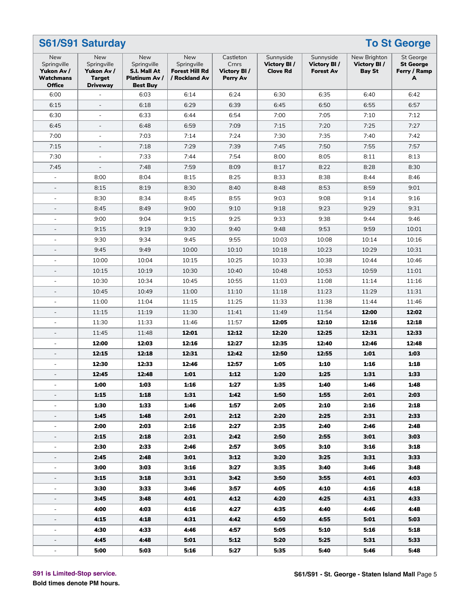|                                                                | S61/S91 Saturday<br><b>To St George</b>                              |                                                                               |                                                                     |                                                |                                             |                                                     |                                       |                                                           |  |
|----------------------------------------------------------------|----------------------------------------------------------------------|-------------------------------------------------------------------------------|---------------------------------------------------------------------|------------------------------------------------|---------------------------------------------|-----------------------------------------------------|---------------------------------------|-----------------------------------------------------------|--|
| New<br>Springville<br>Yukon Av /<br>Watchmans<br><b>Office</b> | New<br>Springville<br>Yukon Av /<br><b>Target</b><br><b>Driveway</b> | <b>New</b><br>Springville<br>S.I. Mall At<br>Platinum Av /<br><b>Best Buy</b> | <b>New</b><br>Springville<br><b>Forest Hill Rd</b><br>/ Rockland Av | Castleton<br>Crnrs<br>Victory BI /<br>Perry Av | Sunnyside<br>Victory BI/<br><b>Clove Rd</b> | Sunnyside<br><b>Victory BI/</b><br><b>Forest Av</b> | New Brighton<br>Victory BI/<br>Bay St | <b>St George</b><br><b>St George</b><br>Ferry / Ramp<br>A |  |
| 6:00                                                           |                                                                      | 6:03                                                                          | 6:14                                                                | 6:24                                           | 6:30                                        | 6:35                                                | 6:40                                  | 6:42                                                      |  |
| 6:15                                                           | $\overline{\phantom{a}}$                                             | 6:18                                                                          | 6:29                                                                | 6:39                                           | 6:45                                        | 6:50                                                | 6:55                                  | 6:57                                                      |  |
| 6:30                                                           | $\blacksquare$                                                       | 6:33                                                                          | 6:44                                                                | 6:54                                           | 7:00                                        | 7:05                                                | 7:10                                  | 7:12                                                      |  |
| 6:45                                                           | $\sim$                                                               | 6:48                                                                          | 6:59                                                                | 7:09                                           | 7:15                                        | 7:20                                                | 7:25                                  | 7:27                                                      |  |
| 7:00                                                           | $\sim$                                                               | 7:03                                                                          | 7:14                                                                | 7:24                                           | 7:30                                        | 7:35                                                | 7:40                                  | 7:42                                                      |  |
| 7:15                                                           | $\overline{\phantom{a}}$                                             | 7:18                                                                          | 7:29                                                                | 7:39                                           | 7:45                                        | 7:50                                                | 7:55                                  | 7:57                                                      |  |
| 7:30                                                           | $\blacksquare$                                                       | 7:33                                                                          | 7:44                                                                | 7:54                                           | 8:00                                        | 8:05                                                | 8:11                                  | 8:13                                                      |  |
| 7:45                                                           | $\overline{\phantom{a}}$                                             | 7:48                                                                          | 7:59                                                                | 8:09                                           | 8:17                                        | 8:22                                                | 8:28                                  | 8:30                                                      |  |
|                                                                | 8:00                                                                 | 8:04                                                                          | 8:15                                                                | 8:25                                           | 8:33                                        | 8:38                                                | 8:44                                  | 8:46                                                      |  |
| $\overline{\phantom{a}}$                                       | 8:15                                                                 | 8:19                                                                          | 8:30                                                                | 8:40                                           | 8:48                                        | 8:53                                                | 8:59                                  | 9:01                                                      |  |
| $\blacksquare$                                                 | 8:30                                                                 | 8:34                                                                          | 8:45                                                                | 8:55                                           | 9:03                                        | 9:08                                                | 9:14                                  | 9:16                                                      |  |
|                                                                | 8:45                                                                 | 8:49                                                                          | 9:00                                                                | 9:10                                           | 9:18                                        | 9:23                                                | 9:29                                  | 9:31                                                      |  |
| $\blacksquare$                                                 | 9:00                                                                 | 9:04                                                                          | 9:15                                                                | 9:25                                           | 9:33                                        | 9:38                                                | 9:44                                  | 9:46                                                      |  |
| $\overline{\phantom{a}}$                                       | 9:15                                                                 | 9:19                                                                          | 9:30                                                                | 9:40                                           | 9:48                                        | 9:53                                                | 9:59                                  | 10:01                                                     |  |
| $\blacksquare$                                                 | 9:30                                                                 | 9:34                                                                          | 9:45                                                                | 9:55                                           | 10:03                                       | 10:08                                               | 10:14                                 | 10:16                                                     |  |
|                                                                | 9:45                                                                 | 9:49                                                                          | 10:00                                                               | 10:10                                          | 10:18                                       | 10:23                                               | 10:29                                 | 10:31                                                     |  |
| $\overline{\phantom{a}}$                                       | 10:00                                                                | 10:04                                                                         | 10:15                                                               | 10:25                                          | 10:33                                       | 10:38                                               | 10:44                                 | 10:46                                                     |  |
| $\overline{\phantom{a}}$                                       | 10:15                                                                | 10:19                                                                         | 10:30                                                               | 10:40                                          | 10:48                                       | 10:53                                               | 10:59                                 | 11:01                                                     |  |
| $\blacksquare$                                                 | 10:30                                                                | 10:34                                                                         | 10:45                                                               | 10:55                                          | 11:03                                       | 11:08                                               | 11:14                                 | 11:16                                                     |  |
| $\overline{\phantom{a}}$                                       | 10:45                                                                | 10:49                                                                         | 11:00                                                               | 11:10                                          | 11:18                                       | 11:23                                               | 11:29                                 | 11:31                                                     |  |
| $\blacksquare$                                                 | 11:00                                                                | 11:04                                                                         | 11:15                                                               | 11:25                                          | 11:33                                       | 11:38                                               | 11:44                                 | 11:46                                                     |  |
| $\blacksquare$                                                 | 11:15                                                                | 11:19                                                                         | 11:30                                                               | 11:41                                          | 11:49                                       | 11:54                                               | 12:00                                 | 12:02                                                     |  |
| $\blacksquare$                                                 | 11:30                                                                | 11:33                                                                         | 11:46                                                               | 11:57                                          | 12:05                                       | 12:10                                               | 12:16                                 | 12:18                                                     |  |
| $\overline{\phantom{a}}$                                       | 11:45                                                                | 11:48                                                                         | 12:01                                                               | 12:12                                          | 12:20                                       | 12:25                                               | 12:31                                 | 12:33                                                     |  |
| ÷                                                              | 12:00                                                                | 12:03                                                                         | 12:16                                                               | 12:27                                          | 12:35                                       | 12:40                                               | 12:46                                 | 12:48                                                     |  |
| $\overline{\phantom{a}}$                                       | 12:15                                                                | 12:18                                                                         | 12:31                                                               | 12:42                                          | 12:50                                       | 12:55                                               | 1:01                                  | 1:03                                                      |  |
| $\blacksquare$                                                 | 12:30                                                                | 12:33                                                                         | 12:46                                                               | 12:57                                          | 1:05                                        | 1:10                                                | 1:16                                  | 1:18                                                      |  |
|                                                                | 12:45                                                                | 12:48                                                                         | 1:01                                                                | 1:12                                           | 1:20                                        | 1:25                                                | 1:31                                  | 1:33                                                      |  |
|                                                                | 1:00                                                                 | 1:03                                                                          | 1:16                                                                | 1:27                                           | 1:35                                        | 1:40                                                | 1:46                                  | 1:48                                                      |  |
|                                                                | 1:15                                                                 | 1:18                                                                          | 1:31                                                                | 1:42                                           | 1:50                                        | 1:55                                                | 2:01                                  | 2:03                                                      |  |
| $\blacksquare$                                                 | 1:30                                                                 | 1:33                                                                          | 1:46                                                                | 1:57                                           | 2:05                                        | 2:10                                                | 2:16                                  | 2:18                                                      |  |
|                                                                | 1:45                                                                 | 1:48                                                                          | 2:01                                                                | 2:12                                           | 2:20                                        | 2:25                                                | 2:31                                  | 2:33                                                      |  |
| $\blacksquare$                                                 | 2:00                                                                 | 2:03                                                                          | 2:16                                                                | 2:27                                           | 2:35                                        | 2:40                                                | 2:46                                  | 2:48                                                      |  |
| $\overline{\phantom{a}}$                                       | 2:15                                                                 | 2:18                                                                          | 2:31                                                                | 2:42                                           | 2:50                                        | 2:55                                                | 3:01                                  | 3:03                                                      |  |
| $\overline{\phantom{a}}$                                       | 2:30                                                                 | 2:33                                                                          | 2:46                                                                | 2:57                                           | 3:05                                        | 3:10                                                | 3:16                                  | 3:18                                                      |  |
|                                                                | 2:45                                                                 | 2:48                                                                          | 3:01                                                                | 3:12                                           | 3:20                                        | 3:25                                                | 3:31                                  | 3:33                                                      |  |
| ÷,                                                             | 3:00                                                                 | 3:03                                                                          | 3:16                                                                | 3:27                                           | 3:35                                        | 3:40                                                | 3:46                                  | 3:48                                                      |  |
| -                                                              | 3:15                                                                 | 3:18                                                                          | 3:31                                                                | 3:42                                           | 3:50                                        | 3:55                                                | 4:01                                  | 4:03                                                      |  |
| $\overline{\phantom{a}}$                                       | 3:30                                                                 | 3:33                                                                          | 3:46                                                                | 3:57                                           | 4:05                                        | 4:10                                                | 4:16                                  | 4:18                                                      |  |
|                                                                | 3:45                                                                 | 3:48                                                                          | 4:01                                                                | 4:12                                           | 4:20                                        | 4:25                                                | 4:31                                  | 4:33                                                      |  |
| $\overline{\phantom{a}}$                                       | 4:00                                                                 | 4:03                                                                          | 4:16                                                                | 4:27                                           | 4:35                                        | 4:40                                                | 4:46                                  | 4:48                                                      |  |
| $\overline{\phantom{a}}$                                       | 4:15                                                                 | 4:18                                                                          | 4:31                                                                | 4:42                                           | 4:50                                        | 4:55                                                | 5:01                                  | 5:03                                                      |  |
| $\overline{\phantom{a}}$                                       | 4:30                                                                 | 4:33                                                                          | 4:46                                                                | 4:57                                           | 5:05                                        | 5:10                                                | 5:16                                  | 5:18                                                      |  |
|                                                                | 4:45                                                                 | 4:48                                                                          | 5:01                                                                | 5:12                                           | 5:20                                        | 5:25                                                | 5:31                                  | 5:33                                                      |  |
|                                                                | 5:00                                                                 | 5:03                                                                          | 5:16                                                                | 5:27                                           | 5:35                                        | 5:40                                                | 5:46                                  | 5:48                                                      |  |

#### **S91 is Limited-Stop service.**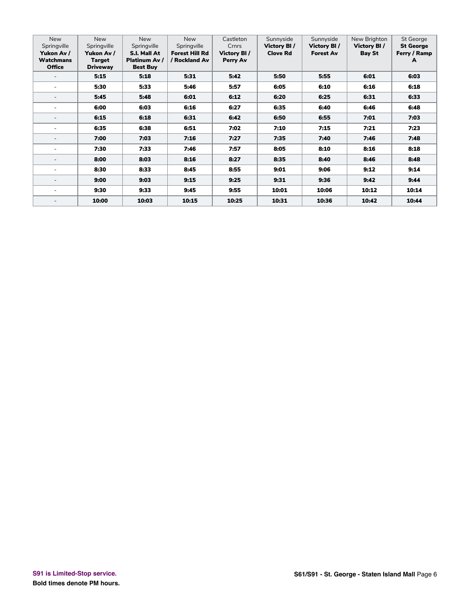| <b>New</b><br>Springville<br>Yukon Av /<br><b>Watchmans</b><br><b>Office</b> | <b>New</b><br>Springville<br>Yukon Av /<br>Target<br><b>Driveway</b> | <b>New</b><br>Springville<br>S.I. Mall At<br>Platinum Av /<br><b>Best Buy</b> | <b>New</b><br>Springville<br><b>Forest Hill Rd</b><br>/ Rockland Av | Castleton<br>Crnrs<br>Victory BI/<br>Perry Av | Sunnyside<br>Victory BI/<br><b>Clove Rd</b> | Sunnyside<br>Victory BI/<br><b>Forest Av</b> | New Brighton<br>Victory BI/<br><b>Bay St</b> | <b>St George</b><br><b>St George</b><br>Ferry / Ramp<br>A |
|------------------------------------------------------------------------------|----------------------------------------------------------------------|-------------------------------------------------------------------------------|---------------------------------------------------------------------|-----------------------------------------------|---------------------------------------------|----------------------------------------------|----------------------------------------------|-----------------------------------------------------------|
|                                                                              | 5:15                                                                 | 5:18                                                                          | 5:31                                                                | 5:42                                          | 5:50                                        | 5:55                                         | 6:01                                         | 6:03                                                      |
|                                                                              | 5:30                                                                 | 5:33                                                                          | 5:46                                                                | 5:57                                          | 6:05                                        | 6:10                                         | 6:16                                         | 6:18                                                      |
|                                                                              | 5:45                                                                 | 5:48                                                                          | 6:01                                                                | 6:12                                          | 6:20                                        | 6:25                                         | 6:31                                         | 6:33                                                      |
|                                                                              | 6:00                                                                 | 6:03                                                                          | 6:16                                                                | 6:27                                          | 6:35                                        | 6:40                                         | 6:46                                         | 6:48                                                      |
|                                                                              | 6:15                                                                 | 6:18                                                                          | 6:31                                                                | 6:42                                          | 6:50                                        | 6:55                                         | 7:01                                         | 7:03                                                      |
|                                                                              | 6:35                                                                 | 6:38                                                                          | 6:51                                                                | 7:02                                          | 7:10                                        | 7:15                                         | 7:21                                         | 7:23                                                      |
|                                                                              | 7:00                                                                 | 7:03                                                                          | 7:16                                                                | 7:27                                          | 7:35                                        | 7:40                                         | 7:46                                         | 7:48                                                      |
|                                                                              | 7:30                                                                 | 7:33                                                                          | 7:46                                                                | 7:57                                          | 8:05                                        | 8:10                                         | 8:16                                         | 8:18                                                      |
|                                                                              | 8:00                                                                 | 8:03                                                                          | 8:16                                                                | 8:27                                          | 8:35                                        | 8:40                                         | 8:46                                         | 8:48                                                      |
|                                                                              | 8:30                                                                 | 8:33                                                                          | 8:45                                                                | 8:55                                          | 9:01                                        | 9:06                                         | 9:12                                         | 9:14                                                      |
|                                                                              | 9:00                                                                 | 9:03                                                                          | 9:15                                                                | 9:25                                          | 9:31                                        | 9:36                                         | 9:42                                         | 9:44                                                      |
|                                                                              | 9:30                                                                 | 9:33                                                                          | 9:45                                                                | 9:55                                          | 10:01                                       | 10:06                                        | 10:12                                        | 10:14                                                     |
|                                                                              | 10:00                                                                | 10:03                                                                         | 10:15                                                               | 10:25                                         | 10:31                                       | 10:36                                        | 10:42                                        | 10:44                                                     |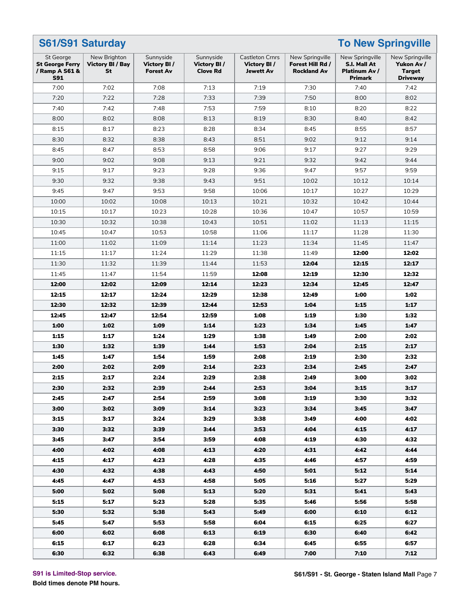#### **S61/S91 Saturday To New Springville** St George **St George Ferry / Ramp A S61 & S91** New Brighton **Victory Bl / Bay St** Sunnyside **Victory Bl / Forest Av** Sunnyside **Victory Bl / Clove Rd** Castleton Crnrs **Victory Bl / Jewett Av** New Springville **Forest Hill Rd / Rockland Av** New Springville **S.I. Mall At Platinum Av / Primark** New Springville **Yukon Av / Target Driveway** 7:00 7:02 7:08 7:13 7:19 7:30 7:40 7:42 7:20 7:22 7:28 7:33 7:39 7:50 8:00 8:02 7:40 7:42 7:48 7:53 7:59 8:10 8:20 8:22 8:00 | 8:02 | 8:08 | 8:13 | 8:19 | 8:30 | 8:40 | 8:42 8:15 | 8:17 | 8:23 | 8:28 | 8:34 | 8:45 | 8:55 | 8:57 8:30 | 8:32 | 8:38 | 8:43 | 8:51 | 9:02 | 9:12 | 9:14 8:45 | 8:47 | 8:53 | 8:58 | 9:06 | 9:17 | 9:27 | 9:29 9:00 9:02 9:08 9:13 9:21 9:32 9:42 9:44 9:15 9:17 9:23 9:28 9:36 9:47 9:57 9:59 9:30 | 9:32 | 9:38 | 9:43 | 9:51 | 10:02 | 10:12 | 10:14 9:45 | 9:47 | 9:53 | 9:58 | 10:06 | 10:17 | 10:27 | 10:29 10:00 10:02 10:08 10:13 10:21 10:32 10:42 10:44 10:15 10:17 10:23 10:28 10:36 10:47 10:57 10:59 10:30 | 10:32 | 10:38 | 10:43 | 10:51 | 11:02 | 11:13 | 11:15 10:45 | 10:47 | 10:53 | 10:58 | 11:06 | 11:17 | 11:28 | 11:30 11:00 11:02 11:09 11:14 11:23 11:34 11:45 11:47 11:15 11:17 11:24 11:29 11:38 11:49 **12:00 12:02** 11:30 | 11:32 | 11:39 | 11:44 | 11:53 | **12:04 | 12:15 | 12:17** 11:45 11:47 11:54 11:59 **12:08 12:19 12:30 12:32 12:00 12:02 12:09 12:14 12:23 12:34 12:45 12:47 12:15 12:17 12:24 12:29 12:38 12:49 1:00 1:02 12:30 12:32 12:39 12:44 12:53 1:04 1:15 1:17 12:45 12:47 12:54 12:59 1:08 1:19 1:30 1:32 1:00 1:02 1:09 1:14 1:23 1:34 1:45 1:47 1:15 1:17 1:24 1:29 1:38 1:49 2:00 2:02 1:30 1:32 1:39 1:44 1:53 2:04 2:15 2:17 1:45 1:47 1:54 1:59 2:08 2:19 2:30 2:32 2:00 2:02 2:09 2:14 2:23 2:34 2:45 2:47 2:15 2:17 2:24 2:29 2:38 2:49 3:00 3:02 2:30 2:32 2:39 2:44 2:53 3:04 3:15 3:17 2:45 2:47 2:54 2:59 3:08 3:19 3:30 3:32 3:00 3:02 3:09 3:14 3:23 3:34 3:45 3:47 3:15 3:17 3:24 3:29 3:38 3:49 4:00 4:02 3:30 3:32 3:39 3:44 3:53 4:04 4:15 4:17 3:45 3:47 3:54 3:59 4:08 4:19 4:30 4:32 4:00 4:02 4:08 4:13 4:20 4:31 4:42 4:44 4:15 4:17 4:23 4:28 4:35 4:46 4:57 4:59 4:30 4:32 4:38 4:43 4:50 5:01 5:12 5:14 4:45 4:47 4:53 4:58 5:05 5:16 5:27 5:29 5:00 5:02 5:08 5:13 5:20 5:31 5:41 5:43 5:15 5:17 5:23 5:28 5:35 5:46 5:56 5:58 5:30 5:32 5:38 5:43 5:49 6:00 6:10 6:12 5:45 5:47 5:53 5:58 6:04 6:15 6:25 6:27 6:00 6:02 6:08 6:13 6:19 6:30 6:40 6:42 6:15 6:17 6:23 6:28 6:34 6:45 6:55 6:57 6:30 6:32 6:38 6:43 6:49 7:00 7:10 7:12**

#### **S91 is Limited-Stop service.**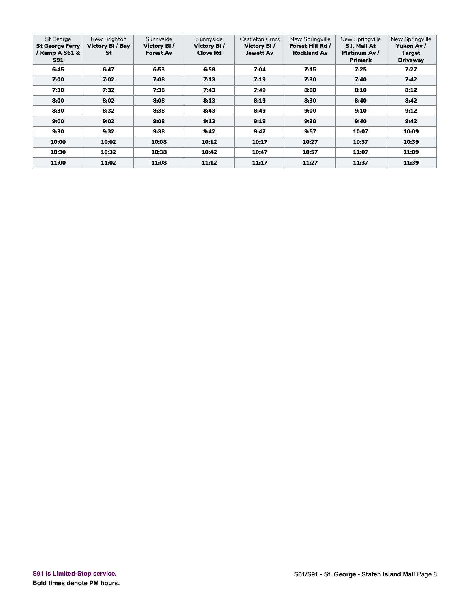| St George<br><b>St George Ferry</b><br>/ Ramp A S61 &<br><b>S91</b> | New Brighton<br>Victory BI / Bay<br>St | Sunnyside<br>Victory BI/<br><b>Forest Av</b> | Sunnyside<br>Victory BI/<br><b>Clove Rd</b> | <b>Castleton Crnrs</b><br>Victory BI/<br>Jewett Av | New Springville<br>Forest Hill Rd /<br><b>Rockland Av</b> | New Springville<br>S.I. Mall At<br>Platinum Av /<br><b>Primark</b> | New Springville<br>Yukon Av /<br>Target<br><b>Driveway</b> |
|---------------------------------------------------------------------|----------------------------------------|----------------------------------------------|---------------------------------------------|----------------------------------------------------|-----------------------------------------------------------|--------------------------------------------------------------------|------------------------------------------------------------|
| 6:45                                                                | 6:47                                   | 6:53                                         | 6:58                                        | 7:04                                               | 7:15                                                      | 7:25                                                               | 7:27                                                       |
| 7:00                                                                | 7:02                                   | 7:08                                         | 7:13                                        | 7:19                                               | 7:30                                                      | 7:40                                                               | 7:42                                                       |
| 7:30                                                                | 7:32                                   | 7:38                                         | 7:43                                        | 7:49                                               | 8:00                                                      | 8:10                                                               | 8:12                                                       |
| 8:00                                                                | 8:02                                   | 8:08                                         | 8:13                                        | 8:19                                               | 8:30                                                      | 8:40                                                               | 8:42                                                       |
| 8:30                                                                | 8:32                                   | 8:38                                         | 8:43                                        | 8:49                                               | 9:00                                                      | 9:10                                                               | 9:12                                                       |
| 9:00                                                                | 9:02                                   | 9:08                                         | 9:13                                        | 9:19                                               | 9:30                                                      | 9:40                                                               | 9:42                                                       |
| 9:30                                                                | 9:32                                   | 9:38                                         | 9:42                                        | 9:47                                               | 9:57                                                      | 10:07                                                              | 10:09                                                      |
| 10:00                                                               | 10:02                                  | 10:08                                        | 10:12                                       | 10:17                                              | 10:27                                                     | 10:37                                                              | 10:39                                                      |
| 10:30                                                               | 10:32                                  | 10:38                                        | 10:42                                       | 10:47                                              | 10:57                                                     | 11:07                                                              | 11:09                                                      |
| 11:00                                                               | 11:02                                  | 11:08                                        | 11:12                                       | 11:17                                              | 11:27                                                     | 11:37                                                              | 11:39                                                      |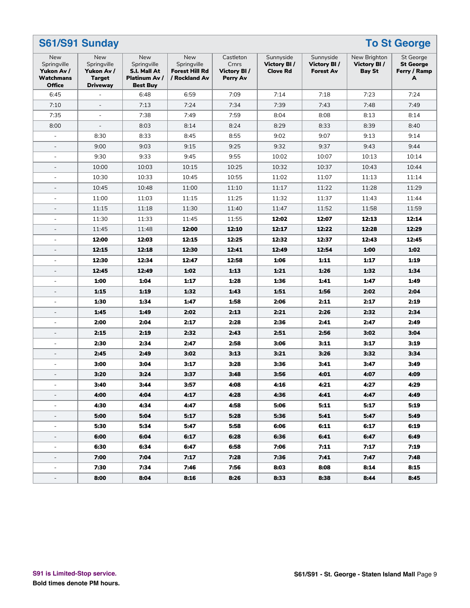| S61/S91 Sunday<br><b>To St George</b>                                 |                                                                      |                                                                        |                                                              |                                                      |                                             |                                              |                                       |                                                    |
|-----------------------------------------------------------------------|----------------------------------------------------------------------|------------------------------------------------------------------------|--------------------------------------------------------------|------------------------------------------------------|---------------------------------------------|----------------------------------------------|---------------------------------------|----------------------------------------------------|
| New<br>Springville<br>Yukon Av /<br><b>Watchmans</b><br><b>Office</b> | New<br>Springville<br>Yukon Av /<br><b>Target</b><br><b>Driveway</b> | New<br>Springville<br>S.I. Mall At<br>Platinum Av /<br><b>Best Buv</b> | New<br>Springville<br><b>Forest Hill Rd</b><br>/ Rockland Av | Castleton<br>Crnrs<br>Victory BI/<br><b>Perry Av</b> | Sunnyside<br>Victory BI/<br><b>Clove Rd</b> | Sunnyside<br>Victory BI/<br><b>Forest Av</b> | New Brighton<br>Victory BI/<br>Bay St | St George<br><b>St George</b><br>Ferry / Ramp<br>A |
| 6:45                                                                  |                                                                      | 6:48                                                                   | 6:59                                                         | 7:09                                                 | 7:14                                        | 7:18                                         | 7:23                                  | 7:24                                               |
| 7:10                                                                  | $\overline{\phantom{a}}$                                             | 7:13                                                                   | 7:24                                                         | 7:34                                                 | 7:39                                        | 7:43                                         | 7:48                                  | 7:49                                               |
| 7:35                                                                  | $\blacksquare$                                                       | 7:38                                                                   | 7:49                                                         | 7:59                                                 | 8:04                                        | 8:08                                         | 8:13                                  | 8:14                                               |
| 8:00                                                                  | $\bar{\phantom{a}}$                                                  | 8:03                                                                   | 8:14                                                         | 8:24                                                 | 8:29                                        | 8:33                                         | 8:39                                  | 8:40                                               |
| ÷,                                                                    | 8:30                                                                 | 8:33                                                                   | 8:45                                                         | 8:55                                                 | 9:02                                        | 9:07                                         | 9:13                                  | 9:14                                               |
| $\overline{\phantom{0}}$                                              | 9:00                                                                 | 9:03                                                                   | 9:15                                                         | 9:25                                                 | 9:32                                        | 9:37                                         | 9:43                                  | 9:44                                               |
| $\blacksquare$                                                        | 9:30                                                                 | 9:33                                                                   | 9:45                                                         | 9:55                                                 | 10:02                                       | 10:07                                        | 10:13                                 | 10:14                                              |
| $\overline{\phantom{a}}$                                              | 10:00                                                                | 10:03                                                                  | 10:15                                                        | 10:25                                                | 10:32                                       | 10:37                                        | 10:43                                 | 10:44                                              |
| $\overline{\phantom{a}}$                                              | 10:30                                                                | 10:33                                                                  | 10:45                                                        | 10:55                                                | 11:02                                       | 11:07                                        | 11:13                                 | 11:14                                              |
| $\overline{\phantom{a}}$                                              | 10:45                                                                | 10:48                                                                  | 11:00                                                        | 11:10                                                | 11:17                                       | 11:22                                        | 11:28                                 | 11:29                                              |
| $\blacksquare$                                                        | 11:00                                                                | 11:03                                                                  | 11:15                                                        | 11:25                                                | 11:32                                       | 11:37                                        | 11:43                                 | 11:44                                              |
| $\overline{\phantom{a}}$                                              | 11:15                                                                | 11:18                                                                  | 11:30                                                        | 11:40                                                | 11:47                                       | 11:52                                        | 11:58                                 | 11:59                                              |
| $\blacksquare$                                                        | 11:30                                                                | 11:33                                                                  | 11:45                                                        | 11:55                                                | 12:02                                       | 12:07                                        | 12:13                                 | 12:14                                              |
| $\overline{\phantom{a}}$                                              | 11:45                                                                | 11:48                                                                  | 12:00                                                        | 12:10                                                | 12:17                                       | 12:22                                        | 12:28                                 | 12:29                                              |
| $\blacksquare$                                                        | 12:00                                                                | 12:03                                                                  | 12:15                                                        | 12:25                                                | 12:32                                       | 12:37                                        | 12:43                                 | 12:45                                              |
| $\overline{a}$                                                        | 12:15                                                                | 12:18                                                                  | 12:30                                                        | 12:41                                                | 12:49                                       | 12:54                                        | 1:00                                  | 1:02                                               |
|                                                                       | 12:30                                                                | 12:34                                                                  | 12:47                                                        | 12:58                                                | 1:06                                        | 1:11                                         | 1:17                                  | 1:19                                               |
| $\overline{\phantom{a}}$                                              | 12:45                                                                | 12:49                                                                  | 1:02                                                         | 1:13                                                 | 1:21                                        | 1:26                                         | 1:32                                  | 1:34                                               |
| $\blacksquare$                                                        | 1:00                                                                 | 1:04                                                                   | 1:17                                                         | 1:28                                                 | 1:36                                        | 1:41                                         | 1:47                                  | 1:49                                               |
| $\overline{\phantom{a}}$                                              | 1:15                                                                 | 1:19                                                                   | 1:32                                                         | 1:43                                                 | 1:51                                        | 1:56                                         | 2:02                                  | 2:04                                               |
| $\blacksquare$                                                        | 1:30                                                                 | 1:34                                                                   | 1:47                                                         | 1:58                                                 | 2:06                                        | 2:11                                         | 2:17                                  | 2:19                                               |
| $\overline{\phantom{a}}$                                              | 1:45                                                                 | 1:49                                                                   | 2:02                                                         | 2:13                                                 | 2:21                                        | 2:26                                         | 2:32                                  | 2:34                                               |
| $\blacksquare$                                                        | 2:00                                                                 | 2:04                                                                   | 2:17                                                         | 2:28                                                 | 2:36                                        | 2:41                                         | 2:47                                  | 2:49                                               |
| $\overline{a}$                                                        | 2:15                                                                 | 2:19                                                                   | 2:32                                                         | 2:43                                                 | 2:51                                        | 2:56                                         | 3:02                                  | 3:04                                               |
|                                                                       | 2:30                                                                 | 2:34                                                                   | 2:47                                                         | 2:58                                                 | 3:06                                        | 3:11                                         | 3:17                                  | 3:19                                               |
| $\overline{\phantom{0}}$                                              | 2:45                                                                 | 2:49                                                                   | 3:02                                                         | 3:13                                                 | 3:21                                        | 3:26                                         | 3:32                                  | 3:34                                               |
| L,                                                                    | 3:00                                                                 | 3:04                                                                   | 3:17                                                         | 3:28                                                 | 3:36                                        | 3:41                                         | 3:47                                  | 3:49                                               |
| $\overline{a}$                                                        | 3:20                                                                 | 3:24                                                                   | 3:37                                                         | 3:48                                                 | 3:56                                        | 4:01                                         | 4:07                                  | 4:09                                               |
|                                                                       | 3:40                                                                 | 3:44                                                                   | 3:57                                                         | 4:08                                                 | 4:16                                        | 4:21                                         | 4:27                                  | 4:29                                               |
| Ξ.                                                                    | 4:00                                                                 | 4:04                                                                   | 4:17                                                         | 4:28                                                 | 4:36                                        | 4:41                                         | 4:47                                  | 4:49                                               |
| ÷,                                                                    | 4:30                                                                 | 4:34                                                                   | 4:47                                                         | 4:58                                                 | 5:06                                        | 5:11                                         | 5:17                                  | 5:19                                               |
|                                                                       | 5:00                                                                 | 5:04                                                                   | 5:17                                                         | 5:28                                                 | 5:36                                        | 5:41                                         | 5:47                                  | 5:49                                               |
| $\overline{\phantom{a}}$                                              | 5:30                                                                 | 5:34                                                                   | 5:47                                                         | 5:58                                                 | 6:06                                        | 6:11                                         | 6:17                                  | 6:19                                               |
| $\overline{\phantom{a}}$                                              | 6:00                                                                 | 6:04                                                                   | 6:17                                                         | 6:28                                                 | 6:36                                        | 6:41                                         | 6:47                                  | 6:49                                               |
| $\overline{\phantom{a}}$                                              | 6:30                                                                 | 6:34                                                                   | 6:47                                                         | 6:58                                                 | 7:06                                        | 7:11                                         | 7:17                                  | 7:19                                               |
|                                                                       | 7:00                                                                 | 7:04                                                                   | 7:17                                                         | 7:28                                                 | 7:36                                        | 7:41                                         | 7:47                                  | 7:48                                               |
|                                                                       | 7:30                                                                 | 7:34                                                                   | 7:46                                                         | 7:56                                                 | 8:03                                        | 8:08                                         | 8:14                                  | 8:15                                               |
| $\overline{\phantom{a}}$                                              | 8:00                                                                 | 8:04                                                                   | 8:16                                                         | 8:26                                                 | 8:33                                        | 8:38                                         | 8:44                                  | 8:45                                               |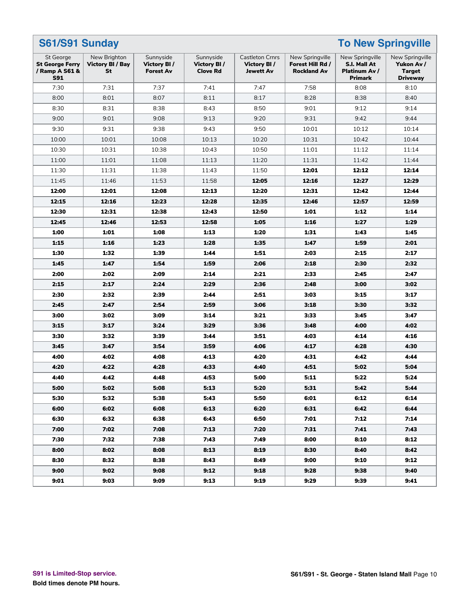| <b>To New Springville</b><br>S61/S91 Sunday                                |                                               |                                              |                                             |                                                           |                                                           |                                                             |                                                                   |  |
|----------------------------------------------------------------------------|-----------------------------------------------|----------------------------------------------|---------------------------------------------|-----------------------------------------------------------|-----------------------------------------------------------|-------------------------------------------------------------|-------------------------------------------------------------------|--|
| <b>St George</b><br><b>St George Ferry</b><br>/ Ramp A S61 &<br><b>S91</b> | New Brighton<br><b>Victory BI / Bay</b><br>St | Sunnyside<br>Victory BI/<br><b>Forest Av</b> | Sunnyside<br>Victory BI/<br><b>Clove Rd</b> | <b>Castleton Crnrs</b><br>Victory BI/<br><b>Jewett Av</b> | New Springville<br>Forest Hill Rd /<br><b>Rockland Av</b> | New Springville<br>S.I. Mall At<br>Platinum Av /<br>Primark | New Springville<br>Yukon Av /<br><b>Target</b><br><b>Driveway</b> |  |
| 7:30                                                                       | 7:31                                          | 7:37                                         | 7:41                                        | 7:47                                                      | 7:58                                                      | 8:08                                                        | 8:10                                                              |  |
| 8:00                                                                       | 8:01                                          | 8:07                                         | 8:11                                        | 8:17                                                      | 8:28                                                      | 8:38                                                        | 8:40                                                              |  |
| 8:30                                                                       | 8:31                                          | 8:38                                         | 8:43                                        | 8:50                                                      | 9:01                                                      | 9:12                                                        | 9:14                                                              |  |
| 9:00                                                                       | 9:01                                          | 9:08                                         | 9:13                                        | 9:20                                                      | 9:31                                                      | 9:42                                                        | 9:44                                                              |  |
| 9:30                                                                       | 9:31                                          | 9:38                                         | 9:43                                        | 9:50                                                      | 10:01                                                     | 10:12                                                       | 10:14                                                             |  |
| 10:00                                                                      | 10:01                                         | 10:08                                        | 10:13                                       | 10:20                                                     | 10:31                                                     | 10:42                                                       | 10:44                                                             |  |
| 10:30                                                                      | 10:31                                         | 10:38                                        | 10:43                                       | 10:50                                                     | 11:01                                                     | 11:12                                                       | 11:14                                                             |  |
| 11:00                                                                      | 11:01                                         | 11:08                                        | 11:13                                       | 11:20                                                     | 11:31                                                     | 11:42                                                       | 11:44                                                             |  |
| 11:30                                                                      | 11:31                                         | 11:38                                        | 11:43                                       | 11:50                                                     | 12:01                                                     | 12:12                                                       | 12:14                                                             |  |
| 11:45                                                                      | 11:46                                         | 11:53                                        | 11:58                                       | 12:05                                                     | 12:16                                                     | 12:27                                                       | 12:29                                                             |  |
| 12:00                                                                      | 12:01                                         | 12:08                                        | 12:13                                       | 12:20                                                     | 12:31                                                     | 12:42                                                       | 12:44                                                             |  |
| 12:15                                                                      | 12:16                                         | 12:23                                        | 12:28                                       | 12:35                                                     | 12:46                                                     | 12:57                                                       | 12:59                                                             |  |
| 12:30                                                                      | 12:31                                         | 12:38                                        | 12:43                                       | 12:50                                                     | 1:01                                                      | 1:12                                                        | 1:14                                                              |  |
| 12:45                                                                      | 12:46                                         | 12:53                                        | 12:58                                       | 1:05                                                      | 1:16                                                      | 1:27                                                        | 1:29                                                              |  |
| 1:00                                                                       | 1:01                                          | 1:08                                         | 1:13                                        | 1:20                                                      | 1:31                                                      | 1:43                                                        | 1:45                                                              |  |
| 1:15                                                                       | 1:16                                          | 1:23                                         | 1:28                                        | 1:35                                                      | 1:47                                                      | 1:59                                                        | 2:01                                                              |  |
| 1:30                                                                       | 1:32                                          | 1:39                                         | 1:44                                        | 1:51                                                      | 2:03                                                      | 2:15                                                        | 2:17                                                              |  |
| 1:45                                                                       | 1:47                                          | 1:54                                         | 1:59                                        | 2:06                                                      | 2:18                                                      | 2:30                                                        | 2:32                                                              |  |
| 2:00                                                                       | 2:02                                          | 2:09                                         | 2:14                                        | 2:21                                                      | 2:33                                                      | 2:45                                                        | 2:47                                                              |  |
| 2:15                                                                       | 2:17                                          | 2:24                                         | 2:29                                        | 2:36                                                      | 2:48                                                      | 3:00                                                        | 3:02                                                              |  |
| 2:30                                                                       | 2:32                                          | 2:39                                         | 2:44                                        | 2:51                                                      | 3:03                                                      | 3:15                                                        | 3:17                                                              |  |
| 2:45                                                                       | 2:47                                          | 2:54                                         | 2:59                                        | 3:06                                                      | 3:18                                                      | 3:30                                                        | 3:32                                                              |  |
| 3:00                                                                       | 3:02                                          | 3:09                                         | 3:14                                        | 3:21                                                      | 3:33                                                      | 3:45                                                        | 3:47                                                              |  |
| 3:15                                                                       | 3:17                                          | 3:24                                         | 3:29                                        | 3:36                                                      | 3:48                                                      | 4:00                                                        | 4:02                                                              |  |
| 3:30                                                                       | 3:32                                          | 3:39                                         | 3:44                                        | 3:51                                                      | 4:03                                                      | 4:14                                                        | 4:16                                                              |  |
| 3:45                                                                       | 3:47                                          | 3:54                                         | 3:59                                        | 4:06                                                      | 4:17                                                      | 4:28                                                        | 4:30                                                              |  |
| 4:00                                                                       | 4:02                                          | 4:08                                         | 4:13                                        | 4:20                                                      | 4:31                                                      | 4:42                                                        | 4:44                                                              |  |
| 4:20                                                                       | 4:22                                          | 4:28                                         | 4:33                                        | 4:40                                                      | 4:51                                                      | 5:02                                                        | 5:04                                                              |  |
| 4:40                                                                       | 4:42                                          | 4:48                                         | 4:53                                        | 5:00                                                      | 5:11                                                      | 5:22                                                        | 5:24                                                              |  |
| 5:00                                                                       | 5:02                                          | 5:08                                         | 5:13                                        | 5:20                                                      | 5:31                                                      | 5:42                                                        | 5:44                                                              |  |
| 5:30                                                                       | 5:32                                          | 5:38                                         | 5:43                                        | 5:50                                                      | 6:01                                                      | 6:12                                                        | 6:14                                                              |  |
| 6:00                                                                       | 6:02                                          | 6:08                                         | 6:13                                        | 6:20                                                      | 6:31                                                      | 6:42                                                        | 6:44                                                              |  |
| 6:30                                                                       | 6:32                                          | 6:38                                         | 6:43                                        | 6:50                                                      | 7:01                                                      | 7:12                                                        | 7:14                                                              |  |
| 7:00                                                                       | 7:02                                          | 7:08                                         | 7:13                                        | 7:20                                                      | 7:31                                                      | 7:41                                                        | 7:43                                                              |  |
| 7:30                                                                       | 7:32                                          | 7:38                                         | 7:43                                        | 7:49                                                      | 8:00                                                      | 8:10                                                        | 8:12                                                              |  |
| 8:00                                                                       | 8:02                                          | 8:08                                         | 8:13                                        | 8:19                                                      | 8:30                                                      | 8:40                                                        | 8:42                                                              |  |
| 8:30                                                                       | 8:32                                          | 8:38                                         | 8:43                                        | 8:49                                                      | 9:00                                                      | 9:10                                                        | 9:12                                                              |  |
| 9:00                                                                       | 9:02                                          | 9:08                                         | 9:12                                        | 9:18                                                      | 9:28                                                      | 9:38                                                        | 9:40                                                              |  |
| 9:01                                                                       | 9:03                                          | 9:09                                         | 9:13                                        | 9:19                                                      | 9:29                                                      | 9:39                                                        | 9:41                                                              |  |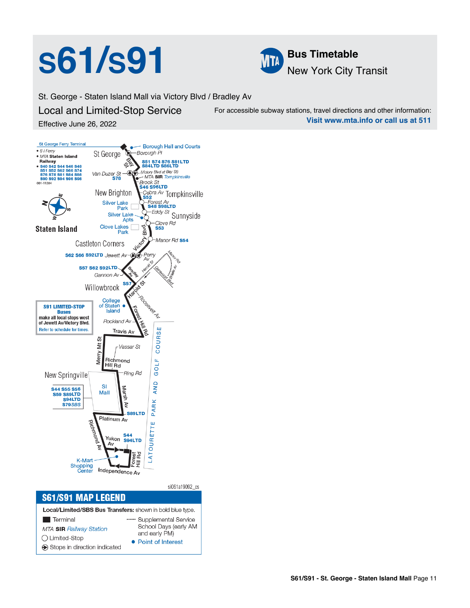# **S61/S91 Bus Timetable**



St. George - Staten Island Mall via Victory Blvd / Bradley Av

Local and Limited-Stop Service Effective June 26, 2022

For accessible subway stations, travel directions and other information: **Visit www.mta.info or call us at 511**



• Point of Interest

Stops in direction indicated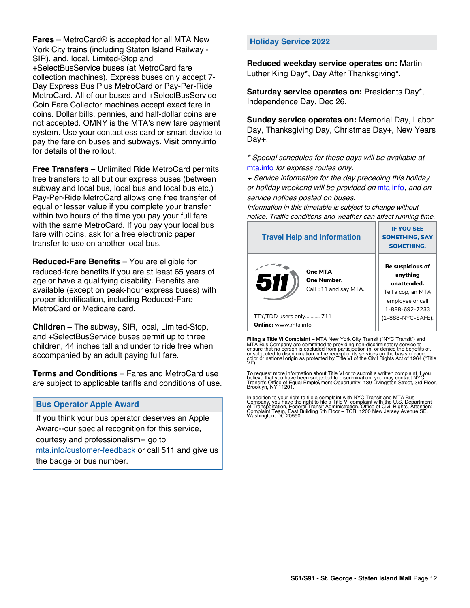**Fares** – MetroCard® is accepted for all MTA New York City trains (including Staten Island Railway - SIR), and, local, Limited-Stop and +SelectBusService buses (at MetroCard fare collection machines). Express buses only accept 7- Day Express Bus Plus MetroCard or Pay-Per-Ride MetroCard. All of our buses and +SelectBusService Coin Fare Collector machines accept exact fare in coins. Dollar bills, pennies, and half-dollar coins are not accepted. OMNY is the MTA's new fare payment system. Use your contactless card or smart device to pay the fare on buses and subways. Visit omny.info for details of the rollout.

**Free Transfers** – Unlimited Ride MetroCard permits free transfers to all but our express buses (between subway and local bus, local bus and local bus etc.) Pay-Per-Ride MetroCard allows one free transfer of equal or lesser value if you complete your transfer within two hours of the time you pay your full fare with the same MetroCard. If you pay your local bus fare with coins, ask for a free electronic paper transfer to use on another local bus.

**Reduced-Fare Benefits** – You are eligible for reduced-fare benefits if you are at least 65 years of age or have a qualifying disability. Benefits are available (except on peak-hour express buses) with proper identification, including Reduced-Fare MetroCard or Medicare card.

**Children** – The subway, SIR, local, Limited-Stop, and +SelectBusService buses permit up to three children, 44 inches tall and under to ride free when accompanied by an adult paying full fare.

**Terms and Conditions** – Fares and MetroCard use are subject to applicable tariffs and conditions of use.

### **Bus Operator Apple Award**

If you think your bus operator deserves an Apple Award--our special recognition for this service, courtesy and professionalism-- go to mta.info/customer-feedback or call 511 and give us the badge or bus number.

### **Holiday Service 2022**

**Reduced weekday service operates on:** Martin Luther King Day\*, Day After Thanksgiving\*.

**Saturday service operates on:** Presidents Day\*, Independence Day, Dec 26.

**Sunday service operates on:** Memorial Day, Labor Day, Thanksgiving Day, Christmas Day+, New Years Day+.

\* Special schedules for these days will be available at [mta.info](https://new.mta.info/) for express routes only.

+ Service information for the day preceding this holiday or holiday weekend will be provided on [mta.info](https://new.mta.info/), and on service notices posted on buses.

Information in this timetable is subject to change without notice. Traffic conditions and weather can affect running time.

| <b>Travel Help and Information</b>                     | <b>IF YOU SEE</b><br><b>SOMETHING, SAY</b><br><b>SOMETHING.</b>                                                |  |  |
|--------------------------------------------------------|----------------------------------------------------------------------------------------------------------------|--|--|
| One MTA<br>511<br>One Number.<br>Call 511 and say MTA. | <b>Be suspicious of</b><br>anything<br>unattended.<br>Tell a cop, an MTA<br>employee or call<br>1-888-692-7233 |  |  |
| TTY/TDD users only 711                                 | (1-888-NYC-SAFE).                                                                                              |  |  |
| <b>Online:</b> www.mta.info                            |                                                                                                                |  |  |

**Filing a Title VI Complaint** – MTA New York City Transit ("NYC Transit") and<br>MTA Bus Company are committed to providing non-discriminatory service to<br>ensure that no person is excluded from participation in, or denied the

To request more information about Title VI or to submit a written complaint if you believe that you have been subjected to discrimination, you may contact NYC<br>Transit's Office of Equal Employment Opportunity, 130 Livingston Street, 3rd Floor,<br>Brooklyn, NY 11201.

In addition to your right to file a complaint with NYC Transit and MTA Bus<br>Company, you have the right to file a Title VI complaint with the U.S. Department<br>of Transportation, Federal Transit Administration, Office of Civi